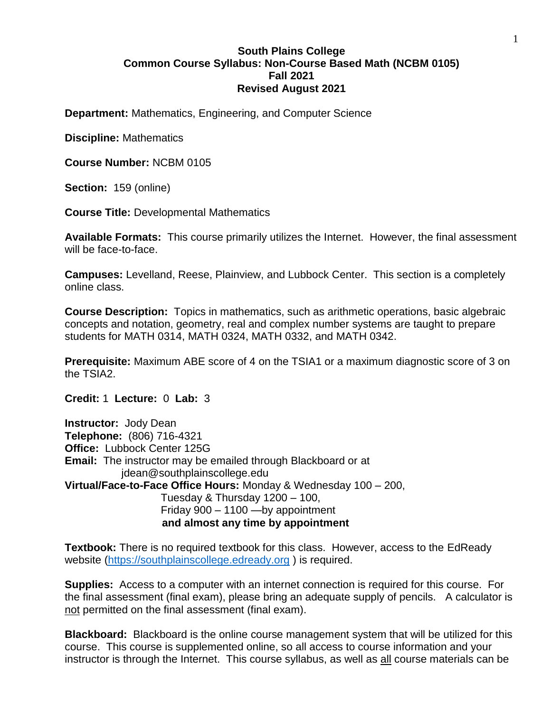#### **South Plains College Common Course Syllabus: Non-Course Based Math (NCBM 0105) Fall 2021 Revised August 2021**

**Department:** Mathematics, Engineering, and Computer Science

**Discipline:** Mathematics

**Course Number:** NCBM 0105

**Section:** 159 (online)

**Course Title:** Developmental Mathematics

**Available Formats:** This course primarily utilizes the Internet. However, the final assessment will be face-to-face.

**Campuses:** Levelland, Reese, Plainview, and Lubbock Center. This section is a completely online class.

**Course Description:** Topics in mathematics, such as arithmetic operations, basic algebraic concepts and notation, geometry, real and complex number systems are taught to prepare students for MATH 0314, MATH 0324, MATH 0332, and MATH 0342.

**Prerequisite:** Maximum ABE score of 4 on the TSIA1 or a maximum diagnostic score of 3 on the TSIA2.

**Credit:** 1 **Lecture:** 0 **Lab:** 3

**Instructor:** Jody Dean **Telephone:** (806) 716-4321 **Office:** Lubbock Center 125G **Email:** The instructor may be emailed through Blackboard or at jdean@southplainscollege.edu **Virtual/Face-to-Face Office Hours:** Monday & Wednesday 100 – 200, Tuesday & Thursday 1200 – 100, Friday 900 – 1100 —by appointment **and almost any time by appointment**

**Textbook:** There is no required textbook for this class. However, access to the EdReady website [\(https://southplainscollege.edready.org](https://southplainscollege.edready.org/) ) is required.

**Supplies:** Access to a computer with an internet connection is required for this course. For the final assessment (final exam), please bring an adequate supply of pencils. A calculator is not permitted on the final assessment (final exam).

**Blackboard:** Blackboard is the online course management system that will be utilized for this course. This course is supplemented online, so all access to course information and your instructor is through the Internet. This course syllabus, as well as all course materials can be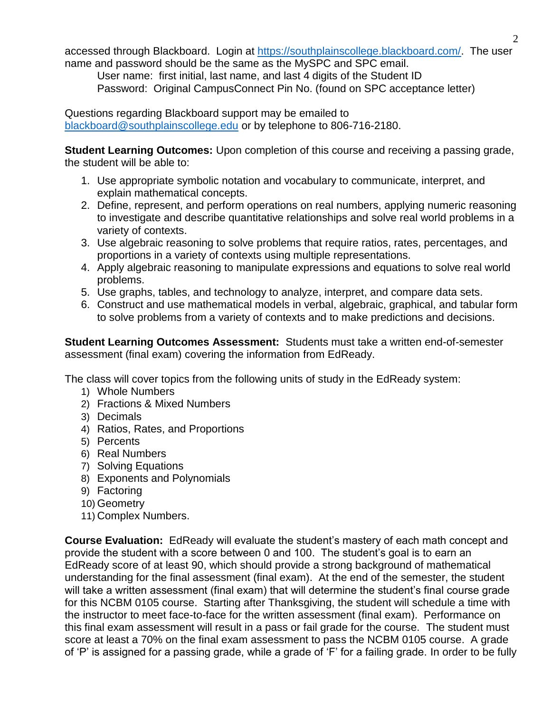accessed through Blackboard. Login at [https://southplainscollege.blackboard.com/.](https://southplainscollege.blackboard.com/) The user name and password should be the same as the MySPC and SPC email.

User name: first initial, last name, and last 4 digits of the Student ID Password: Original CampusConnect Pin No. (found on SPC acceptance letter)

Questions regarding Blackboard support may be emailed to [blackboard@southplainscollege.edu](mailto:blackboard@southplainscollege.edu) or by telephone to 806-716-2180.

**Student Learning Outcomes:** Upon completion of this course and receiving a passing grade, the student will be able to:

- 1. Use appropriate symbolic notation and vocabulary to communicate, interpret, and explain mathematical concepts.
- 2. Define, represent, and perform operations on real numbers, applying numeric reasoning to investigate and describe quantitative relationships and solve real world problems in a variety of contexts.
- 3. Use algebraic reasoning to solve problems that require ratios, rates, percentages, and proportions in a variety of contexts using multiple representations.
- 4. Apply algebraic reasoning to manipulate expressions and equations to solve real world problems.
- 5. Use graphs, tables, and technology to analyze, interpret, and compare data sets.
- 6. Construct and use mathematical models in verbal, algebraic, graphical, and tabular form to solve problems from a variety of contexts and to make predictions and decisions.

**Student Learning Outcomes Assessment:** Students must take a written end-of-semester assessment (final exam) covering the information from EdReady.

The class will cover topics from the following units of study in the EdReady system:

- 1) Whole Numbers
- 2) Fractions & Mixed Numbers
- 3) Decimals
- 4) Ratios, Rates, and Proportions
- 5) Percents
- 6) Real Numbers
- 7) Solving Equations
- 8) Exponents and Polynomials
- 9) Factoring
- 10) Geometry
- 11) Complex Numbers.

**Course Evaluation:** EdReady will evaluate the student's mastery of each math concept and provide the student with a score between 0 and 100. The student's goal is to earn an EdReady score of at least 90, which should provide a strong background of mathematical understanding for the final assessment (final exam). At the end of the semester, the student will take a written assessment (final exam) that will determine the student's final course grade for this NCBM 0105 course. Starting after Thanksgiving, the student will schedule a time with the instructor to meet face-to-face for the written assessment (final exam). Performance on this final exam assessment will result in a pass or fail grade for the course. The student must score at least a 70% on the final exam assessment to pass the NCBM 0105 course. A grade of 'P' is assigned for a passing grade, while a grade of 'F' for a failing grade. In order to be fully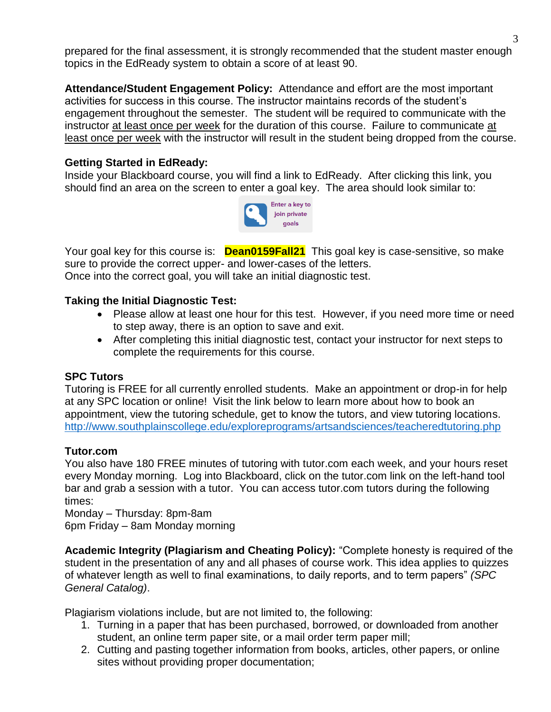prepared for the final assessment, it is strongly recommended that the student master enough topics in the EdReady system to obtain a score of at least 90.

**Attendance/Student Engagement Policy:** Attendance and effort are the most important activities for success in this course. The instructor maintains records of the student's engagement throughout the semester. The student will be required to communicate with the instructor at least once per week for the duration of this course. Failure to communicate at least once per week with the instructor will result in the student being dropped from the course.

# **Getting Started in EdReady:**

Inside your Blackboard course, you will find a link to EdReady. After clicking this link, you should find an area on the screen to enter a goal key. The area should look similar to:



Your goal key for this course is: **Dean0159Fall21** This goal key is case-sensitive, so make sure to provide the correct upper- and lower-cases of the letters. Once into the correct goal, you will take an initial diagnostic test.

## **Taking the Initial Diagnostic Test:**

- Please allow at least one hour for this test. However, if you need more time or need to step away, there is an option to save and exit.
- After completing this initial diagnostic test, contact your instructor for next steps to complete the requirements for this course.

## **SPC Tutors**

Tutoring is FREE for all currently enrolled students. Make an appointment or drop-in for help at any SPC location or online! Visit the link below to learn more about how to book an appointment, view the tutoring schedule, get to know the tutors, and view tutoring locations. <http://www.southplainscollege.edu/exploreprograms/artsandsciences/teacheredtutoring.php>

## **Tutor.com**

You also have 180 FREE minutes of tutoring with tutor.com each week, and your hours reset every Monday morning. Log into Blackboard, click on the tutor.com link on the left-hand tool bar and grab a session with a tutor. You can access tutor.com tutors during the following times:

Monday – Thursday: 8pm-8am 6pm Friday – 8am Monday morning

**Academic Integrity (Plagiarism and Cheating Policy):** "Complete honesty is required of the student in the presentation of any and all phases of course work. This idea applies to quizzes of whatever length as well to final examinations, to daily reports, and to term papers" *(SPC General Catalog)*.

Plagiarism violations include, but are not limited to, the following:

- 1. Turning in a paper that has been purchased, borrowed, or downloaded from another student, an online term paper site, or a mail order term paper mill;
- 2. Cutting and pasting together information from books, articles, other papers, or online sites without providing proper documentation;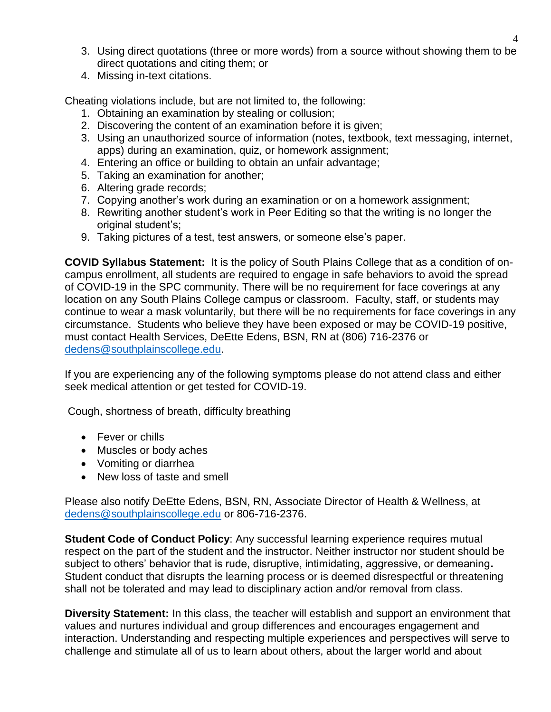- 3. Using direct quotations (three or more words) from a source without showing them to be direct quotations and citing them; or
- 4. Missing in-text citations.

Cheating violations include, but are not limited to, the following:

- 1. Obtaining an examination by stealing or collusion;
- 2. Discovering the content of an examination before it is given;
- 3. Using an unauthorized source of information (notes, textbook, text messaging, internet, apps) during an examination, quiz, or homework assignment;
- 4. Entering an office or building to obtain an unfair advantage;
- 5. Taking an examination for another;
- 6. Altering grade records;
- 7. Copying another's work during an examination or on a homework assignment;
- 8. Rewriting another student's work in Peer Editing so that the writing is no longer the original student's;
- 9. Taking pictures of a test, test answers, or someone else's paper.

**COVID Syllabus Statement:** It is the policy of South Plains College that as a condition of oncampus enrollment, all students are required to engage in safe behaviors to avoid the spread of COVID-19 in the SPC community. There will be no requirement for face coverings at any location on any South Plains College campus or classroom. Faculty, staff, or students may continue to wear a mask voluntarily, but there will be no requirements for face coverings in any circumstance. Students who believe they have been exposed or may be COVID-19 positive, must contact Health Services, DeEtte Edens, BSN, RN at (806) 716-2376 or [dedens@southplainscollege.edu.](mailto:dedens@southplainscollege.edu)

If you are experiencing any of the following symptoms please do not attend class and either seek medical attention or get tested for COVID-19.

Cough, shortness of breath, difficulty breathing

- Fever or chills
- Muscles or body aches
- Vomiting or diarrhea
- New loss of taste and smell

Please also notify DeEtte Edens, BSN, RN, Associate Director of Health & Wellness, at [dedens@southplainscollege.edu](mailto:dedens@southplainscollege.edu) or 806-716-2376.

**Student Code of Conduct Policy:** Any successful learning experience requires mutual respect on the part of the student and the instructor. Neither instructor nor student should be subject to others' behavior that is rude, disruptive, intimidating, aggressive, or demeaning**.**  Student conduct that disrupts the learning process or is deemed disrespectful or threatening shall not be tolerated and may lead to disciplinary action and/or removal from class.

**Diversity Statement:** In this class, the teacher will establish and support an environment that values and nurtures individual and group differences and encourages engagement and interaction. Understanding and respecting multiple experiences and perspectives will serve to challenge and stimulate all of us to learn about others, about the larger world and about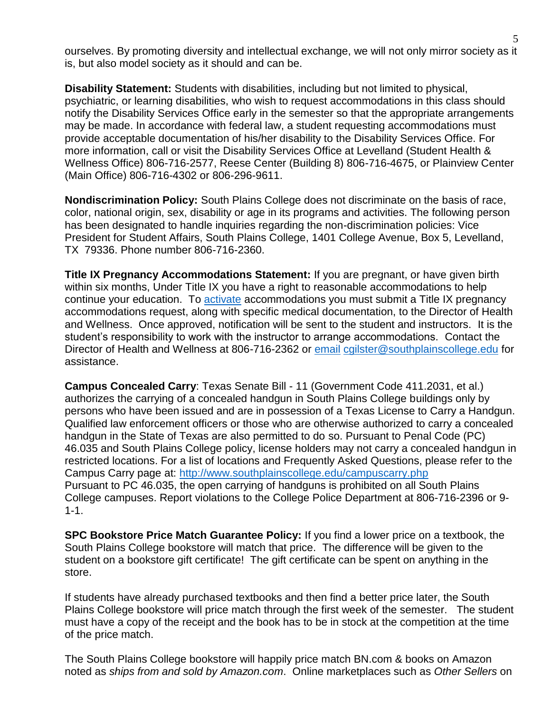ourselves. By promoting diversity and intellectual exchange, we will not only mirror society as it is, but also model society as it should and can be.

**Disability Statement:** Students with disabilities, including but not limited to physical, psychiatric, or learning disabilities, who wish to request accommodations in this class should notify the Disability Services Office early in the semester so that the appropriate arrangements may be made. In accordance with federal law, a student requesting accommodations must provide acceptable documentation of his/her disability to the Disability Services Office. For more information, call or visit the Disability Services Office at Levelland (Student Health & Wellness Office) 806-716-2577, Reese Center (Building 8) 806-716-4675, or Plainview Center (Main Office) 806-716-4302 or 806-296-9611.

**Nondiscrimination Policy:** South Plains College does not discriminate on the basis of race, color, national origin, sex, disability or age in its programs and activities. The following person has been designated to handle inquiries regarding the non-discrimination policies: Vice President for Student Affairs, South Plains College, 1401 College Avenue, Box 5, Levelland, TX 79336. Phone number 806-716-2360.

**Title IX Pregnancy Accommodations Statement:** If you are pregnant, or have given birth within six months, Under Title IX you have a right to reasonable accommodations to help continue your education. To [activate](http://www.southplainscollege.edu/employees/manualshandbooks/facultyhandbook/sec4.php) accommodations you must submit a Title IX pregnancy accommodations request, along with specific medical documentation, to the Director of Health and Wellness. Once approved, notification will be sent to the student and instructors. It is the student's responsibility to work with the instructor to arrange accommodations. Contact the Director of Health and Wellness at 806-716-2362 or [email](http://www.southplainscollege.edu/employees/manualshandbooks/facultyhandbook/sec4.php) [cgilster@southplainscollege.edu](mailto:cgilster@southplainscollege.edu) for assistance.

**Campus Concealed Carry**: Texas Senate Bill - 11 (Government Code 411.2031, et al.) authorizes the carrying of a concealed handgun in South Plains College buildings only by persons who have been issued and are in possession of a Texas License to Carry a Handgun. Qualified law enforcement officers or those who are otherwise authorized to carry a concealed handgun in the State of Texas are also permitted to do so. Pursuant to Penal Code (PC) 46.035 and South Plains College policy, license holders may not carry a concealed handgun in restricted locations. For a list of locations and Frequently Asked Questions, please refer to the Campus Carry page at: <http://www.southplainscollege.edu/campuscarry.php> Pursuant to PC 46.035, the open carrying of handguns is prohibited on all South Plains College campuses. Report violations to the College Police Department at 806-716-2396 or 9-  $1 - 1$ .

**SPC Bookstore Price Match Guarantee Policy:** If you find a lower price on a textbook, the South Plains College bookstore will match that price. The difference will be given to the student on a bookstore gift certificate! The gift certificate can be spent on anything in the store.

If students have already purchased textbooks and then find a better price later, the South Plains College bookstore will price match through the first week of the semester. The student must have a copy of the receipt and the book has to be in stock at the competition at the time of the price match.

The South Plains College bookstore will happily price match BN.com & books on Amazon noted as *ships from and sold by Amazon.com*. Online marketplaces such as *Other Sellers* on